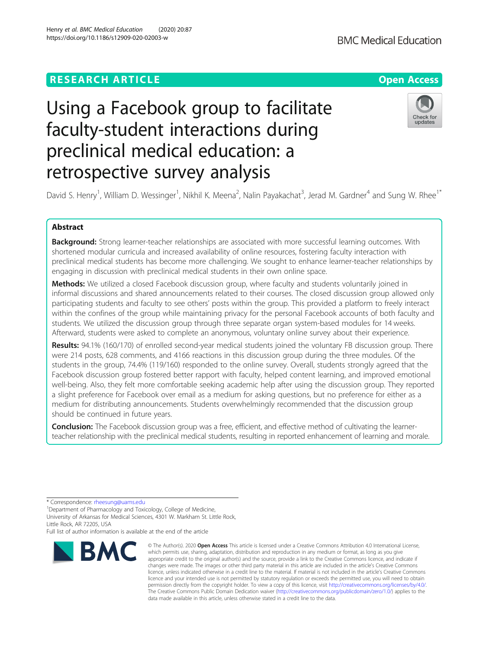## **RESEARCH ARTICLE Example 2014 12:30 The Contract of Contract ACCESS**

# Using a Facebook group to facilitate faculty-student interactions during preclinical medical education: a retrospective survey analysis

David S. Henry<sup>1</sup>, William D. Wessinger<sup>1</sup>, Nikhil K. Meena<sup>2</sup>, Nalin Payakachat<sup>3</sup>, Jerad M. Gardner<sup>4</sup> and Sung W. Rhee<sup>1\*</sup>

## Abstract

**Background:** Strong learner-teacher relationships are associated with more successful learning outcomes. With shortened modular curricula and increased availability of online resources, fostering faculty interaction with preclinical medical students has become more challenging. We sought to enhance learner-teacher relationships by engaging in discussion with preclinical medical students in their own online space.

Methods: We utilized a closed Facebook discussion group, where faculty and students voluntarily joined in informal discussions and shared announcements related to their courses. The closed discussion group allowed only participating students and faculty to see others' posts within the group. This provided a platform to freely interact within the confines of the group while maintaining privacy for the personal Facebook accounts of both faculty and students. We utilized the discussion group through three separate organ system-based modules for 14 weeks. Afterward, students were asked to complete an anonymous, voluntary online survey about their experience.

Results: 94.1% (160/170) of enrolled second-year medical students joined the voluntary FB discussion group. There were 214 posts, 628 comments, and 4166 reactions in this discussion group during the three modules. Of the students in the group, 74.4% (119/160) responded to the online survey. Overall, students strongly agreed that the Facebook discussion group fostered better rapport with faculty, helped content learning, and improved emotional well-being. Also, they felt more comfortable seeking academic help after using the discussion group. They reported a slight preference for Facebook over email as a medium for asking questions, but no preference for either as a medium for distributing announcements. Students overwhelmingly recommended that the discussion group should be continued in future years.

Conclusion: The Facebook discussion group was a free, efficient, and effective method of cultivating the learnerteacher relationship with the preclinical medical students, resulting in reported enhancement of learning and morale.

\* Correspondence: [rheesung@uams.edu](mailto:rheesung@uams.edu) <sup>1</sup>

**BMC** 

<sup>1</sup>Department of Pharmacology and Toxicology, College of Medicine, University of Arkansas for Medical Sciences, 4301 W. Markham St. Little Rock, Little Rock, AR 72205, USA

Full list of author information is available at the end of the article



© The Author(s), 2020 **Open Access** This article is licensed under a Creative Commons Attribution 4.0 International License,



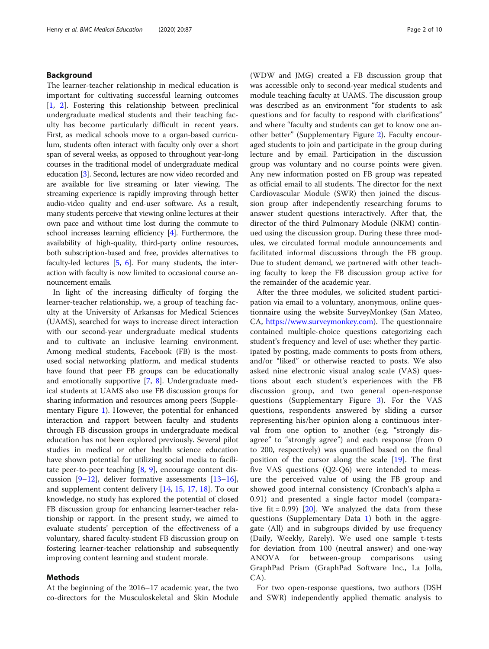## Background

The learner-teacher relationship in medical education is important for cultivating successful learning outcomes [[1,](#page-8-0) [2\]](#page-8-0). Fostering this relationship between preclinical undergraduate medical students and their teaching faculty has become particularly difficult in recent years. First, as medical schools move to a organ-based curriculum, students often interact with faculty only over a short span of several weeks, as opposed to throughout year-long courses in the traditional model of undergraduate medical education [\[3\]](#page-8-0). Second, lectures are now video recorded and are available for live streaming or later viewing. The streaming experience is rapidly improving through better audio-video quality and end-user software. As a result, many students perceive that viewing online lectures at their own pace and without time lost during the commute to school increases learning efficiency [\[4\]](#page-8-0). Furthermore, the availability of high-quality, third-party online resources, both subscription-based and free, provides alternatives to faculty-led lectures [[5,](#page-8-0) [6](#page-8-0)]. For many students, the interaction with faculty is now limited to occasional course announcement emails.

In light of the increasing difficulty of forging the learner-teacher relationship, we, a group of teaching faculty at the University of Arkansas for Medical Sciences (UAMS), searched for ways to increase direct interaction with our second-year undergraduate medical students and to cultivate an inclusive learning environment. Among medical students, Facebook (FB) is the mostused social networking platform, and medical students have found that peer FB groups can be educationally and emotionally supportive [\[7](#page-8-0), [8](#page-8-0)]. Undergraduate medical students at UAMS also use FB discussion groups for sharing information and resources among peers (Supplementary Figure [1](#page-7-0)). However, the potential for enhanced interaction and rapport between faculty and students through FB discussion groups in undergraduate medical education has not been explored previously. Several pilot studies in medical or other health science education have shown potential for utilizing social media to facilitate peer-to-peer teaching  $[8, 9]$  $[8, 9]$  $[8, 9]$  $[8, 9]$  $[8, 9]$ , encourage content discussion  $[9-12]$  $[9-12]$  $[9-12]$ , deliver formative assessments  $[13-16]$  $[13-16]$  $[13-16]$  $[13-16]$  $[13-16]$ , and supplement content delivery [[14,](#page-8-0) [15,](#page-8-0) [17,](#page-8-0) [18](#page-8-0)]. To our knowledge, no study has explored the potential of closed FB discussion group for enhancing learner-teacher relationship or rapport. In the present study, we aimed to evaluate students' perception of the effectiveness of a voluntary, shared faculty-student FB discussion group on fostering learner-teacher relationship and subsequently improving content learning and student morale.

## Methods

At the beginning of the 2016–17 academic year, the two co-directors for the Musculoskeletal and Skin Module

(WDW and JMG) created a FB discussion group that was accessible only to second-year medical students and module teaching faculty at UAMS. The discussion group was described as an environment "for students to ask questions and for faculty to respond with clarifications" and where "faculty and students can get to know one another better" (Supplementary Figure [2](#page-7-0)). Faculty encouraged students to join and participate in the group during lecture and by email. Participation in the discussion group was voluntary and no course points were given. Any new information posted on FB group was repeated as official email to all students. The director for the next Cardiovascular Module (SWR) then joined the discussion group after independently researching forums to answer student questions interactively. After that, the director of the third Pulmonary Module (NKM) continued using the discussion group. During these three modules, we circulated formal module announcements and facilitated informal discussions through the FB group. Due to student demand, we partnered with other teaching faculty to keep the FB discussion group active for the remainder of the academic year.

After the three modules, we solicited student participation via email to a voluntary, anonymous, online questionnaire using the website SurveyMonkey (San Mateo, CA, [https://www.surveymonkey.com\)](https://www.surveymonkey.com). The questionnaire contained multiple-choice questions categorizing each student's frequency and level of use: whether they participated by posting, made comments to posts from others, and/or "liked" or otherwise reacted to posts. We also asked nine electronic visual analog scale (VAS) questions about each student's experiences with the FB discussion group, and two general open-response questions (Supplementary Figure [3](#page-7-0)). For the VAS questions, respondents answered by sliding a cursor representing his/her opinion along a continuous interval from one option to another (e.g. "strongly disagree" to "strongly agree") and each response (from 0 to 200, respectively) was quantified based on the final position of the cursor along the scale [\[19](#page-8-0)]. The first five VAS questions (Q2-Q6) were intended to measure the perceived value of using the FB group and showed good internal consistency (Cronbach's alpha = 0.91) and presented a single factor model (comparative fit =  $0.99$ ) [[20\]](#page-8-0). We analyzed the data from these questions (Supplementary Data [1](#page-7-0)) both in the aggregate (All) and in subgroups divided by use frequency (Daily, Weekly, Rarely). We used one sample t-tests for deviation from 100 (neutral answer) and one-way ANOVA for between-group comparisons using GraphPad Prism (GraphPad Software Inc., La Jolla, CA).

For two open-response questions, two authors (DSH and SWR) independently applied thematic analysis to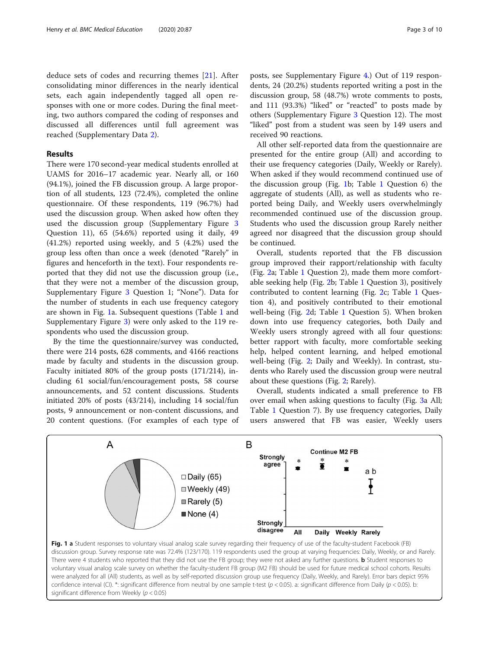deduce sets of codes and recurring themes [\[21](#page-8-0)]. After consolidating minor differences in the nearly identical sets, each again independently tagged all open responses with one or more codes. During the final meeting, two authors compared the coding of responses and discussed all differences until full agreement was reached (Supplementary Data [2](#page-7-0)).

### Results

There were 170 second-year medical students enrolled at UAMS for 2016–17 academic year. Nearly all, or 160 (94.1%), joined the FB discussion group. A large proportion of all students, 123 (72.4%), completed the online questionnaire. Of these respondents, 119 (96.7%) had used the discussion group. When asked how often they used the discussion group (Supplementary Figure [3](#page-7-0) Question 11), 65 (54.6%) reported using it daily, 49 (41.2%) reported using weekly, and 5 (4.2%) used the group less often than once a week (denoted "Rarely" in figures and henceforth in the text). Four respondents reported that they did not use the discussion group (i.e., that they were not a member of the discussion group, Supplementary Figure [3](#page-7-0) Question 1; "None"). Data for the number of students in each use frequency category are shown in Fig. 1a. Subsequent questions (Table [1](#page-3-0) and Supplementary Figure [3\)](#page-7-0) were only asked to the 119 respondents who used the discussion group.

By the time the questionnaire/survey was conducted, there were 214 posts, 628 comments, and 4166 reactions made by faculty and students in the discussion group. Faculty initiated 80% of the group posts (171/214), including 61 social/fun/encouragement posts, 58 course announcements, and 52 content discussions. Students initiated 20% of posts (43/214), including 14 social/fun posts, 9 announcement or non-content discussions, and 20 content questions. (For examples of each type of

significant difference from Weekly ( $p < 0.05$ )

posts, see Supplementary Figure [4.](#page-7-0)) Out of 119 respondents, 24 (20.2%) students reported writing a post in the discussion group, 58 (48.7%) wrote comments to posts, and 111 (93.3%) "liked" or "reacted" to posts made by others (Supplementary Figure [3](#page-7-0) Question 12). The most "liked" post from a student was seen by 149 users and received 90 reactions.

All other self-reported data from the questionnaire are presented for the entire group (All) and according to their use frequency categories (Daily, Weekly or Rarely). When asked if they would recommend continued use of the discussion group (Fig. 1b; Table [1](#page-3-0) Question 6) the aggregate of students (All), as well as students who reported being Daily, and Weekly users overwhelmingly recommended continued use of the discussion group. Students who used the discussion group Rarely neither agreed nor disagreed that the discussion group should be continued.

Overall, students reported that the FB discussion group improved their rapport/relationship with faculty (Fig. [2](#page-4-0)a; Table [1](#page-3-0) Question 2), made them more comfortable seeking help (Fig. [2](#page-4-0)b; Table [1](#page-3-0) Question 3), positively contributed to content learning (Fig. [2](#page-4-0)c; Table [1](#page-3-0) Question 4), and positively contributed to their emotional well-being (Fig. [2d](#page-4-0); Table [1](#page-3-0) Question 5). When broken down into use frequency categories, both Daily and Weekly users strongly agreed with all four questions: better rapport with faculty, more comfortable seeking help, helped content learning, and helped emotional well-being (Fig. [2](#page-4-0); Daily and Weekly). In contrast, students who Rarely used the discussion group were neutral about these questions (Fig. [2](#page-4-0); Rarely).

Overall, students indicated a small preference to FB over email when asking questions to faculty (Fig. [3a](#page-4-0) All; Table [1](#page-3-0) Question 7). By use frequency categories, Daily users answered that FB was easier, Weekly users

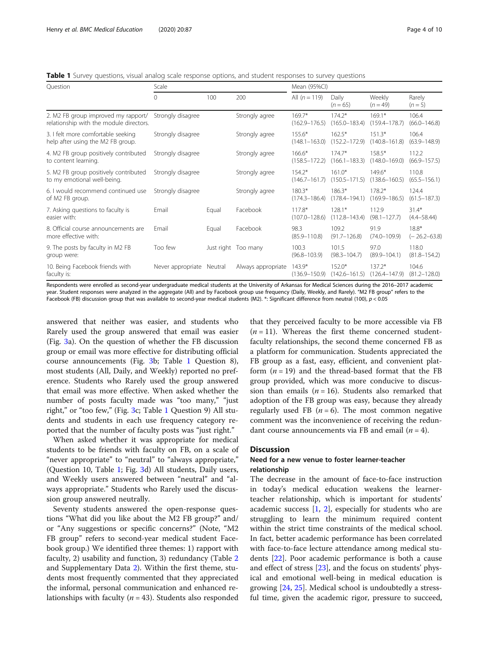<span id="page-3-0"></span>Table 1 Survey questions, visual analog scale response options, and student responses to survey questions

| Question                                                                       | Scale             |         |                     | Mean (95%CI)                  |                               |                               |                             |
|--------------------------------------------------------------------------------|-------------------|---------|---------------------|-------------------------------|-------------------------------|-------------------------------|-----------------------------|
|                                                                                | $\Omega$          | 100     | 200                 | All $(n = 119)$               | Daily<br>$(n=65)$             | Weekly<br>$(n = 49)$          | Rarely<br>$(n=5)$           |
| 2. M2 FB group improved my rapport/<br>relationship with the module directors. | Strongly disagree |         | Strongly agree      | $169.7*$<br>$(162.9 - 176.5)$ | $174.2*$<br>$(165.0 - 183.4)$ | $169.1*$<br>$(159.4 - 178.7)$ | 106.4<br>$(66.0 - 146.8)$   |
| 3. I felt more comfortable seeking<br>help after using the M2 FB group.        | Strongly disagree |         | Strongly agree      | 155.6*<br>$(148.1 - 163.0)$   | $162.5*$<br>$(152.2 - 172.9)$ | $151.3*$<br>$(140.8 - 161.8)$ | 106.4<br>$(63.9 - 148.9)$   |
| 4. M2 FB group positively contributed<br>to content learning.                  | Strongly disagree |         | Strongly agree      | 166.6*<br>$(158.5 - 172.2)$   | $174.7*$<br>$(166.1 - 183.3)$ | $158.5*$<br>$(148.0 - 169.0)$ | 112.2<br>$(66.9 - 157.5)$   |
| 5. M2 FB group positively contributed<br>to my emotional well-being.           | Strongly disagree |         | Strongly agree      | $154.2*$<br>$(146.7 - 161.7)$ | $161.0*$<br>$(150.5 - 171.5)$ | $149.6*$<br>$(138.6 - 160.5)$ | 110.8<br>$(65.5 - 156.1)$   |
| 6. I would recommend continued use<br>of M2 FB group.                          | Strongly disagree |         | Strongly agree      | $180.3*$<br>$(174.3 - 186.4)$ | $186.3*$<br>$(178.4 - 194.1)$ | $178.2*$<br>$(169.9 - 186.5)$ | 124.4<br>$(61.5 - 187.3)$   |
| 7. Asking questions to faculty is<br>easier with:                              | Email             | Equal   | Facebook            | $117.8*$<br>$(107.0 - 128.6)$ | $128.1*$<br>$(112.8 - 143.4)$ | 112.9<br>$(98.1 - 127.7)$     | $31.4*$<br>$(4.4 - 58.44)$  |
| 8. Official course announcements are<br>more effective with:                   | Email             | Equal   | Facebook            | 98.3<br>$(85.9 - 110.8)$      | 109.2<br>$(91.7 - 126.8)$     | 91.9<br>$(74.0 - 109.9)$      | $18.8*$<br>$(-26.2 - 63.8)$ |
| 9. The posts by faculty in M2 FB<br>group were:                                | Too few           |         | Just right Too many | 100.3<br>$(96.8 - 103.9)$     | 101.5<br>$(98.3 - 104.7)$     | 97.0<br>$(89.9 - 104.1)$      | 118.0<br>$(81.8 - 154.2)$   |
| 10. Being Facebook friends with<br>faculty is:                                 | Never appropriate | Neutral | Always appropriate  | $143.9*$<br>$(136.9 - 150.9)$ | $152.0*$<br>$(142.6 - 161.5)$ | $137.2*$<br>$(126.4 - 147.9)$ | 104.6<br>$(81.2 - 128.0)$   |

Respondents were enrolled as second-year undergraduate medical students at the University of Arkansas for Medical Sciences during the 2016–2017 academic year. Student responses were analyzed in the aggregate (All) and by Facebook group use frequency (Daily, Weekly, and Rarely). "M2 FB group" refers to the Facebook (FB) discussion group that was available to second-year medical students (M2). \*: Significant difference from neutral (100),  $p < 0.05$ 

answered that neither was easier, and students who Rarely used the group answered that email was easier (Fig. [3](#page-4-0)a). On the question of whether the FB discussion group or email was more effective for distributing official course announcements (Fig. [3b](#page-4-0); Table 1 Question 8), most students (All, Daily, and Weekly) reported no preference. Students who Rarely used the group answered that email was more effective. When asked whether the number of posts faculty made was "too many," "just right," or "too few," (Fig. [3c](#page-4-0); Table 1 Question 9) All students and students in each use frequency category reported that the number of faculty posts was "just right."

When asked whether it was appropriate for medical students to be friends with faculty on FB, on a scale of "never appropriate" to "neutral" to "always appropriate," (Question 10, Table 1; Fig. [3d](#page-4-0)) All students, Daily users, and Weekly users answered between "neutral" and "always appropriate." Students who Rarely used the discussion group answered neutrally.

Seventy students answered the open-response questions "What did you like about the M2 FB group?" and/ or "Any suggestions or specific concerns?" (Note, "M2 FB group" refers to second-year medical student Facebook group.) We identified three themes: 1) rapport with faculty, 2) usability and function, 3) redundancy (Table [2](#page-5-0) and Supplementary Data [2](#page-7-0)). Within the first theme, students most frequently commented that they appreciated the informal, personal communication and enhanced relationships with faculty ( $n = 43$ ). Students also responded

that they perceived faculty to be more accessible via FB  $(n = 11)$ . Whereas the first theme concerned studentfaculty relationships, the second theme concerned FB as a platform for communication. Students appreciated the FB group as a fast, easy, efficient, and convenient platform  $(n = 19)$  and the thread-based format that the FB group provided, which was more conducive to discussion than emails ( $n = 16$ ). Students also remarked that adoption of the FB group was easy, because they already regularly used FB  $(n = 6)$ . The most common negative comment was the inconvenience of receiving the redundant course announcements via FB and email  $(n = 4)$ .

## **Discussion**

## Need for a new venue to foster learner-teacher relationship

The decrease in the amount of face-to-face instruction in today's medical education weakens the learnerteacher relationship, which is important for students' academic success [[1](#page-8-0), [2](#page-8-0)], especially for students who are struggling to learn the minimum required content within the strict time constraints of the medical school. In fact, better academic performance has been correlated with face-to-face lecture attendance among medical students [[22\]](#page-8-0). Poor academic performance is both a cause and effect of stress [\[23](#page-8-0)], and the focus on students' physical and emotional well-being in medical education is growing [[24,](#page-8-0) [25\]](#page-8-0). Medical school is undoubtedly a stressful time, given the academic rigor, pressure to succeed,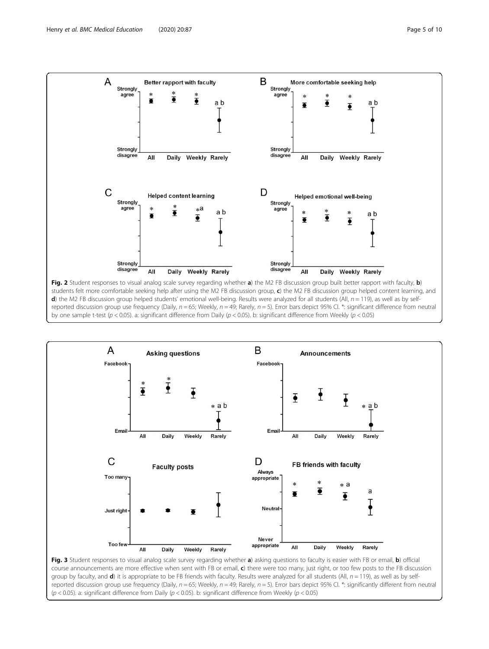<span id="page-4-0"></span>

d) the M2 FB discussion group helped students' emotional well-being. Results were analyzed for all students (All,  $n = 119$ ), as well as by selfreported discussion group use frequency (Daily,  $n = 65$ ; Weekly,  $n = 49$ ; Rarely,  $n = 5$ ). Error bars depict 95% CI. \*: significant difference from neutral by one sample t-test ( $p < 0.05$ ). a: significant difference from Daily ( $p < 0.05$ ). b: significant difference from Weekly ( $p < 0.05$ )



Fig. 3 Student responses to visual analog scale survey regarding whether a) asking questions to faculty is easier with FB or email, b) official course announcements are more effective when sent with FB or email, c) there were too many, just right, or too few posts to the FB discussion group by faculty, and  $d$ ) it is appropriate to be FB friends with faculty. Results were analyzed for all students (All,  $n = 119$ ), as well as by selfreported discussion group use frequency (Daily,  $n = 65$ ; Weekly,  $n = 49$ ; Rarely,  $n = 5$ ). Error bars depict 95% CI. \*: significantly different from neutral ( $p$  < 0.05). a: significant difference from Daily ( $p$  < 0.05). b: significant difference from Weekly ( $p$  < 0.05)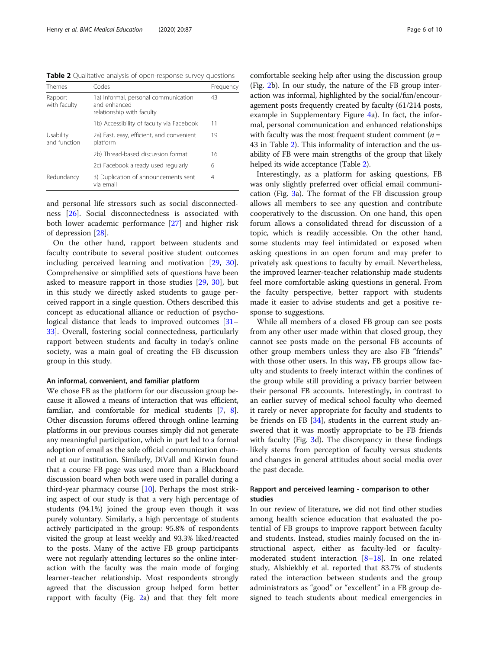<span id="page-5-0"></span>Table 2 Qualitative analysis of open-response survey questions

| Themes                    | Codes                                                                             | Frequency |
|---------------------------|-----------------------------------------------------------------------------------|-----------|
| Rapport<br>with faculty   | 1a) Informal, personal communication<br>and enhanced<br>relationship with faculty | 43        |
|                           | 1b) Accessibility of faculty via Facebook                                         | 11        |
| Usability<br>and function | 2a) Fast, easy, efficient, and convenient<br>platform                             | 19        |
|                           | 2b) Thread-based discussion format                                                | 16        |
|                           | 2c) Facebook already used regularly                                               | 6         |
| Redundancy                | 3) Duplication of announcements sent<br>via email                                 | 4         |

and personal life stressors such as social disconnectedness [[26](#page-8-0)]. Social disconnectedness is associated with both lower academic performance [\[27](#page-8-0)] and higher risk of depression [\[28](#page-8-0)].

On the other hand, rapport between students and faculty contribute to several positive student outcomes including perceived learning and motivation [[29,](#page-8-0) [30](#page-8-0)]. Comprehensive or simplified sets of questions have been asked to measure rapport in those studies [[29,](#page-8-0) [30\]](#page-8-0), but in this study we directly asked students to gauge perceived rapport in a single question. Others described this concept as educational alliance or reduction of psycho-logical distance that leads to improved outcomes [[31](#page-8-0)– [33\]](#page-8-0). Overall, fostering social connectedness, particularly rapport between students and faculty in today's online society, was a main goal of creating the FB discussion group in this study.

#### An informal, convenient, and familiar platform

We chose FB as the platform for our discussion group because it allowed a means of interaction that was efficient, familiar, and comfortable for medical students [[7](#page-8-0), [8](#page-8-0)]. Other discussion forums offered through online learning platforms in our previous courses simply did not generate any meaningful participation, which in part led to a formal adoption of email as the sole official communication channel at our institution. Similarly, DiVall and Kirwin found that a course FB page was used more than a Blackboard discussion board when both were used in parallel during a third-year pharmacy course [[10](#page-8-0)]. Perhaps the most striking aspect of our study is that a very high percentage of students (94.1%) joined the group even though it was purely voluntary. Similarly, a high percentage of students actively participated in the group: 95.8% of respondents visited the group at least weekly and 93.3% liked/reacted to the posts. Many of the active FB group participants were not regularly attending lectures so the online interaction with the faculty was the main mode of forging learner-teacher relationship. Most respondents strongly agreed that the discussion group helped form better rapport with faculty (Fig. [2a](#page-4-0)) and that they felt more

comfortable seeking help after using the discussion group (Fig. [2](#page-4-0)b). In our study, the nature of the FB group interaction was informal, highlighted by the social/fun/encouragement posts frequently created by faculty (61/214 posts, example in Supplementary Figure [4](#page-7-0)a). In fact, the informal, personal communication and enhanced relationships with faculty was the most frequent student comment ( $n =$ 43 in Table 2). This informality of interaction and the usability of FB were main strengths of the group that likely helped its wide acceptance (Table 2).

Interestingly, as a platform for asking questions, FB was only slightly preferred over official email communication (Fig.  $3a$  $3a$ ). The format of the FB discussion group allows all members to see any question and contribute cooperatively to the discussion. On one hand, this open forum allows a consolidated thread for discussion of a topic, which is readily accessible. On the other hand, some students may feel intimidated or exposed when asking questions in an open forum and may prefer to privately ask questions to faculty by email. Nevertheless, the improved learner-teacher relationship made students feel more comfortable asking questions in general. From the faculty perspective, better rapport with students made it easier to advise students and get a positive response to suggestions.

While all members of a closed FB group can see posts from any other user made within that closed group, they cannot see posts made on the personal FB accounts of other group members unless they are also FB "friends" with those other users. In this way, FB groups allow faculty and students to freely interact within the confines of the group while still providing a privacy barrier between their personal FB accounts. Interestingly, in contrast to an earlier survey of medical school faculty who deemed it rarely or never appropriate for faculty and students to be friends on FB [\[34](#page-8-0)], students in the current study answered that it was mostly appropriate to be FB friends with faculty (Fig. [3d](#page-4-0)). The discrepancy in these findings likely stems from perception of faculty versus students and changes in general attitudes about social media over the past decade.

## Rapport and perceived learning - comparison to other studies

In our review of literature, we did not find other studies among health science education that evaluated the potential of FB groups to improve rapport between faculty and students. Instead, studies mainly focused on the instructional aspect, either as faculty-led or facultymoderated student interaction [[8](#page-8-0)–[18](#page-8-0)]. In one related study, Alshiekhly et al. reported that 83.7% of students rated the interaction between students and the group administrators as "good" or "excellent" in a FB group designed to teach students about medical emergencies in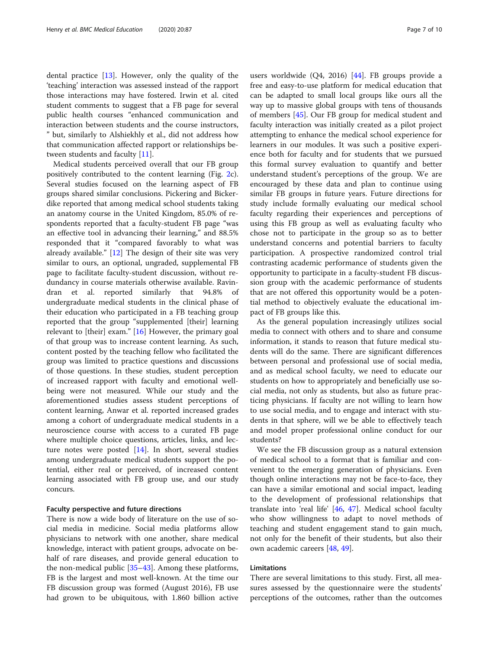dental practice [\[13](#page-8-0)]. However, only the quality of the 'teaching' interaction was assessed instead of the rapport those interactions may have fostered. Irwin et al. cited student comments to suggest that a FB page for several public health courses "enhanced communication and interaction between students and the course instructors, " but, similarly to Alshiekhly et al., did not address how that communication affected rapport or relationships be-tween students and faculty [\[11](#page-8-0)].

Medical students perceived overall that our FB group positively contributed to the content learning (Fig. [2c](#page-4-0)). Several studies focused on the learning aspect of FB groups shared similar conclusions. Pickering and Bickerdike reported that among medical school students taking an anatomy course in the United Kingdom, 85.0% of respondents reported that a faculty-student FB page "was an effective tool in advancing their learning," and 88.5% responded that it "compared favorably to what was already available." [[12\]](#page-8-0) The design of their site was very similar to ours, an optional, ungraded, supplemental FB page to facilitate faculty-student discussion, without redundancy in course materials otherwise available. Ravindran et al. reported similarly that 94.8% of undergraduate medical students in the clinical phase of their education who participated in a FB teaching group reported that the group "supplemented [their] learning relevant to [their] exam." [\[16](#page-8-0)] However, the primary goal of that group was to increase content learning. As such, content posted by the teaching fellow who facilitated the group was limited to practice questions and discussions of those questions. In these studies, student perception of increased rapport with faculty and emotional wellbeing were not measured. While our study and the aforementioned studies assess student perceptions of content learning, Anwar et al. reported increased grades among a cohort of undergraduate medical students in a neuroscience course with access to a curated FB page where multiple choice questions, articles, links, and lecture notes were posted [\[14\]](#page-8-0). In short, several studies among undergraduate medical students support the potential, either real or perceived, of increased content learning associated with FB group use, and our study concurs.

#### Faculty perspective and future directions

There is now a wide body of literature on the use of social media in medicine. Social media platforms allow physicians to network with one another, share medical knowledge, interact with patient groups, advocate on behalf of rare diseases, and provide general education to the non-medical public [\[35](#page-8-0)–[43\]](#page-8-0). Among these platforms, FB is the largest and most well-known. At the time our FB discussion group was formed (August 2016), FB use had grown to be ubiquitous, with 1.860 billion active

users worldwide (Q4, 2016) [[44\]](#page-8-0). FB groups provide a free and easy-to-use platform for medical education that can be adapted to small local groups like ours all the way up to massive global groups with tens of thousands of members [\[45\]](#page-8-0). Our FB group for medical student and faculty interaction was initially created as a pilot project attempting to enhance the medical school experience for learners in our modules. It was such a positive experience both for faculty and for students that we pursued this formal survey evaluation to quantify and better understand student's perceptions of the group. We are encouraged by these data and plan to continue using similar FB groups in future years. Future directions for study include formally evaluating our medical school faculty regarding their experiences and perceptions of using this FB group as well as evaluating faculty who chose not to participate in the group so as to better understand concerns and potential barriers to faculty participation. A prospective randomized control trial contrasting academic performance of students given the opportunity to participate in a faculty-student FB discussion group with the academic performance of students that are not offered this opportunity would be a potential method to objectively evaluate the educational impact of FB groups like this.

As the general population increasingly utilizes social media to connect with others and to share and consume information, it stands to reason that future medical students will do the same. There are significant differences between personal and professional use of social media, and as medical school faculty, we need to educate our students on how to appropriately and beneficially use social media, not only as students, but also as future practicing physicians. If faculty are not willing to learn how to use social media, and to engage and interact with students in that sphere, will we be able to effectively teach and model proper professional online conduct for our students?

We see the FB discussion group as a natural extension of medical school to a format that is familiar and convenient to the emerging generation of physicians. Even though online interactions may not be face-to-face, they can have a similar emotional and social impact, leading to the development of professional relationships that translate into 'real life' [[46,](#page-8-0) [47\]](#page-8-0). Medical school faculty who show willingness to adapt to novel methods of teaching and student engagement stand to gain much, not only for the benefit of their students, but also their own academic careers [[48,](#page-8-0) [49](#page-8-0)].

## Limitations

There are several limitations to this study. First, all measures assessed by the questionnaire were the students' perceptions of the outcomes, rather than the outcomes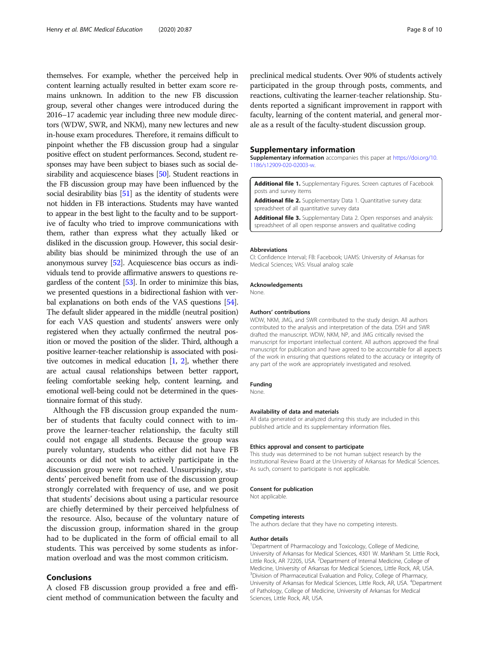<span id="page-7-0"></span>themselves. For example, whether the perceived help in content learning actually resulted in better exam score remains unknown. In addition to the new FB discussion group, several other changes were introduced during the 2016–17 academic year including three new module directors (WDW, SWR, and NKM), many new lectures and new in-house exam procedures. Therefore, it remains difficult to pinpoint whether the FB discussion group had a singular positive effect on student performances. Second, student responses may have been subject to biases such as social de-sirability and acquiescence biases [\[50\]](#page-8-0). Student reactions in the FB discussion group may have been influenced by the social desirability bias [\[51](#page-8-0)] as the identity of students were not hidden in FB interactions. Students may have wanted to appear in the best light to the faculty and to be supportive of faculty who tried to improve communications with them, rather than express what they actually liked or disliked in the discussion group. However, this social desirability bias should be minimized through the use of an anonymous survey [\[52\]](#page-9-0). Acquiescence bias occurs as individuals tend to provide affirmative answers to questions regardless of the content [[53\]](#page-9-0). In order to minimize this bias, we presented questions in a bidirectional fashion with verbal explanations on both ends of the VAS questions [\[54](#page-9-0)]. The default slider appeared in the middle (neutral position) for each VAS question and students' answers were only registered when they actually confirmed the neutral position or moved the position of the slider. Third, although a positive learner-teacher relationship is associated with positive outcomes in medical education [\[1](#page-8-0), [2](#page-8-0)], whether there are actual causal relationships between better rapport, feeling comfortable seeking help, content learning, and emotional well-being could not be determined in the questionnaire format of this study.

Although the FB discussion group expanded the number of students that faculty could connect with to improve the learner-teacher relationship, the faculty still could not engage all students. Because the group was purely voluntary, students who either did not have FB accounts or did not wish to actively participate in the discussion group were not reached. Unsurprisingly, students' perceived benefit from use of the discussion group strongly correlated with frequency of use, and we posit that students' decisions about using a particular resource are chiefly determined by their perceived helpfulness of the resource. Also, because of the voluntary nature of the discussion group, information shared in the group had to be duplicated in the form of official email to all students. This was perceived by some students as information overload and was the most common criticism.

## Conclusions

A closed FB discussion group provided a free and efficient method of communication between the faculty and preclinical medical students. Over 90% of students actively participated in the group through posts, comments, and reactions, cultivating the learner-teacher relationship. Students reported a significant improvement in rapport with faculty, learning of the content material, and general morale as a result of the faculty-student discussion group.

#### Supplementary information

Supplementary information accompanies this paper at [https://doi.org/10.](https://doi.org/10.1186/s12909-020-02003-w) [1186/s12909-020-02003-w](https://doi.org/10.1186/s12909-020-02003-w).

Additional file 1. Supplementary Figures. Screen captures of Facebook posts and survey items

Additional file 2. Supplementary Data 1. Quantitative survey data: spreadsheet of all quantitative survey data

Additional file 3. Supplementary Data 2. Open responses and analysis: spreadsheet of all open response answers and qualitative coding

#### Abbreviations

CI: Confidence Interval; FB: Facebook; UAMS: University of Arkansas for Medical Sciences; VAS: Visual analog scale

#### Acknowledgements

None.

#### Authors' contributions

WDW, NKM, JMG, and SWR contributed to the study design. All authors contributed to the analysis and interpretation of the data. DSH and SWR drafted the manuscript. WDW, NKM, NP, and JMG critically revised the manuscript for important intellectual content. All authors approved the final manuscript for publication and have agreed to be accountable for all aspects of the work in ensuring that questions related to the accuracy or integrity of any part of the work are appropriately investigated and resolved.

#### Funding

None.

#### Availability of data and materials

All data generated or analyzed during this study are included in this published article and its supplementary information files.

#### Ethics approval and consent to participate

This study was determined to be not human subject research by the Institutional Review Board at the University of Arkansas for Medical Sciences. As such, consent to participate is not applicable.

#### Consent for publication

Not applicable.

#### Competing interests

The authors declare that they have no competing interests.

#### Author details

<sup>1</sup>Department of Pharmacology and Toxicology, College of Medicine, University of Arkansas for Medical Sciences, 4301 W. Markham St. Little Rock, Little Rock, AR 72205, USA. <sup>2</sup>Department of Internal Medicine, College of Medicine, University of Arkansas for Medical Sciences, Little Rock, AR, USA. <sup>3</sup> Division of Pharmaceutical Evaluation and Policy, College of Pharmacy, University of Arkansas for Medical Sciences, Little Rock, AR, USA. <sup>4</sup>Department of Pathology, College of Medicine, University of Arkansas for Medical Sciences, Little Rock, AR, USA.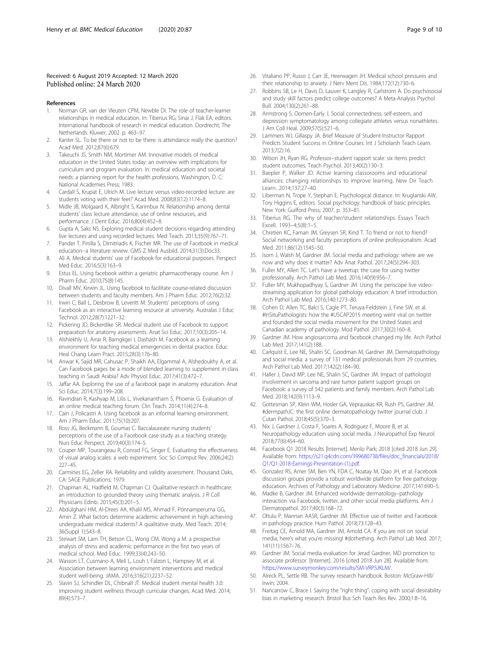#### <span id="page-8-0"></span>Received: 6 August 2019 Accepted: 12 March 2020 Published online: 24 March 2020

#### References

- 1. Norman GR, van der Vleuten CPM, Newble DI. The role of teacher-learner relationships in medical education. In: Tiberius RG, Sinai J, Flak EA, editors. International handbook of research in medical education. Dordrecht, The Netherlands: Kluwer; 2002. p. 463–97.
- 2. Kanter SL. To be there or not to be there: is attendance really the question? Acad Med. 2012;87(6):679.
- 3. Takeuchi JS, Smith NM, Mortimer AM. Innovative models of medical education in the United States today: an overview with implications for curriculum and program evaluation. In: medical education and societal needs: a planning report for the health professions. Washington, D. C: National Academies Press; 1983.
- 4. Cardall S, Krupat E, Ulrich M. Live lecture versus video-recorded lecture: are students voting with their feet? Acad Med. 2008;83(12):1174–8.
- 5. Midle JB, Molgaard K, Albright S, Karimbux N. Relationship among dental students' class lecture attendance, use of online resources, and performance. J Dent Educ. 2016;80(4):452–8.
- 6. Gupta A, Saks NS. Exploring medical student decisions regarding attending live lectures and using recorded lectures. Med Teach. 2013;35(9):767–71.
- 7. Pander T, Pinilla S, Dimitriadis K, Fischer MR. The use of Facebook in medical education--a literature review. GMS Z Med Ausbild. 2014;31(3):Doc33.
- 8. Ali A. Medical students' use of Facebook for educational purposes. Perspect Med Educ. 2016;5(3):163–9.
- 9. Estus EL. Using facebook within a geriatric pharmacotherapy course. Am J Pharm Educ. 2010;75(8):145.
- 10. Divall MV, Kirwin JL. Using facebook to facilitate course-related discussion between students and faculty members. Am J Pharm Educ. 2012;76(2):32.
- 11. Irwin C, Ball L, Desbrow B, Leveritt M. Students' perceptions of using Facebook as an interactive learning resource at university. Australas J Educ Technol. 2012;28(7):1221–32.
- 12. Pickering JD, Bickerdike SR. Medical student use of Facebook to support preparation for anatomy assessments. Anat Sci Educ. 2017;10(3):205–14.
- 13. Alshiekhly U, Arrar R, Barngkgei I, Dashash M. Facebook as a learning environment for teaching medical emergencies in dental practice. Educ Heal Chang Learn Pract. 2015;28(3):176–80.
- 14. Anwar K, Sajid MR, Cahusac P, Shaikh AA, Elgammal A, Alshedoukhy A, et al. Can Facebook pages be a mode of blended learning to supplement in-class teaching in Saudi Arabia? Adv Physiol Educ. 2017;41(3):472–7.
- 15. Jaffar AA. Exploring the use of a facebook page in anatomy education. Anat Sci Educ. 2014;7(3):199–208.
- 16. Ravindran R, Kashyap M, Lilis L, Vivekanantham S, Phoenix G. Evaluation of an online medical teaching forum. Clin Teach. 2014;11(4):274–8.
- 17. Cain J, Policastri A. Using facebook as an informal learning environment. Am J Pharm Educ. 2011;75(10):207.
- 18. Ross JG, Beckmann B, Goumas C. Baccalaureate nursing students' perceptions of the use of a Facebook case study as a teaching strategy. Nurs Educ Perspect. 2019;40(3):174–5.
- 19. Couper MP, Tourangeau R, Conrad FG, Singer E. Evaluating the effectiveness of visual analog scales: a web experiment. Soc Sci Comput Rev. 2006;24(2): 227–45.
- 20. Carmines EG, Zeller RA. Reliability and validity assessment. Thousand Oaks, CA: SAGE Publications; 1979.
- 21. Chapman AL, Hadfield M, Chapman CJ. Qualitative research in healthcare: an introduction to grounded theory using thematic analysis. J R Coll Physicians Edinb. 2015;45(3):201–5.
- 22. Abdulghani HM, Al-Drees AA, Khalil MS, Ahmad F, Ponnamperuma GG, Amin Z. What factors determine academic achievement in high achieving undergraduate medical students? A qualitative study. Med Teach. 2014; 36(Suppl 1):S43–8.
- 23. Stewart SM, Lam TH, Betson CL, Wong CM. Wong a M. a prospective analysis of stress and academic performance in the first two years of medical school. Med Educ. 1999;33(4):243–50.
- 24. Wasson LT, Cusmano A, Meli L, Louh I, Falzon L, Hampsey M, et al. Association between learning environment interventions and medical student well-being. JAMA. 2016;316(21):2237–52.
- 25. Slavin SJ, Schindler DL, Chibnall JT. Medical student mental health 3.0: improving student wellness through curricular changes. Acad Med. 2014; 89(4):573–7.
- 26. Vitaliano PP, Russo J, Carr JE, Heerwagen JH. Medical school pressures and their relationship to anxiety. J Nerv Ment Dis. 1984;172(12):730–6.
- 27. Robbins SB, Le H, Davis D, Lauver K, Langley R, Carlstrom A. Do psychosocial and study skill factors predict college outcomes? A Meta-Analysis Psychol Bull. 2004;130(2):261–88.
- 28. Armstrong S, Oomen-Early J. Social connectedness, self-esteem, and depression symptomatology among collegiate athletes versus nonathletes. J Am Coll Heal. 2009;57(5):521–6.
- 29. Lammers WJ, Gillaspy JA. Brief Measure of Student-Instructor Rapport Predicts Student Success in Online Courses. Int J Scholarsh Teach Learn. 2013;7(2):16.
- 30. Wilson JH, Ryan RG. Professor–student rapport scale: six items predict student outcomes. Teach Psychol. 2013;40(2):130–3.
- 31. Baepler P, Walker JD. Active learning classorooms and educational alliances: changing relationships to improve learning. New Dir Teach Learn. 2014;137:27–40.
- 32. Liberman N, Trope Y, Stephan E. Psychological distance. In: Kruglanski AW, Tory Higgins E, editors. Social psychology: handbook of basic principles. New York: Guilford Press; 2007. p. 353–81.
- 33. Tiberius RG. The why of teacher/student relationships. Essays Teach Excell. 1993–4;5(8):1–5.
- 34. Chretien KC, Farnan JM, Greysen SR, Kind T. To friend or not to friend? Social networking and faculty perceptions of online professionalism. Acad Med. 2011;86(12):1545–50.
- 35. Isom J, Walsh M, Gardner JM. Social media and pathology: where are we now and why does it matter? Adv Anat Pathol. 2017;24(5):294–303.
- 36. Fuller MY, Allen TC. Let's have a tweetup: the case for using twitter professionally. Arch Pathol Lab Med. 2016;140(9):956–7.
- 37. Fuller MY, Mukhopadhyay S, Gardner JM. Using the periscope live videostreaming application for global pathology education: A brief introduction. Arch Pathol Lab Med. 2016;140:1273–80.
- 38. Cohen D, Allen TC, Balci S, Cagle PT, Teruya-Feldstein J, Fine SW, et al. #InSituPathologists: how the #USCAP2015 meeting went viral on twitter and founded the social media movement for the United States and Canadian academy of pathology. Mod Pathol. 2017;30(2):160–8.
- 39. Gardner JM. How angiosarcoma and facebook changed my life. Arch Pathol Lab Med. 2017;141(2):188.
- 40. Carlquist E, Lee NE, Shalin SC, Goodman M, Gardner JM. Dermatopathology and social media: a survey of 131 medical professionals from 29 countries. Arch Pathol Lab Med. 2017;142(2):184–90.
- 41. Haller J, David MP, Lee NE, Shalin SC, Gardner JM. Impact of pathologist involvement in sarcoma and rare tumor patient support groups on Facebook: a survey of 542 patients and family members. Arch Pathol Lab Med. 2018;142(9):1113–9.
- 42. Gottesman SP, Klein WM, Hosler GA, Veprauskas KR, Rush PS, Gardner JM. #dermpathJC: the first online dermatopathology twitter journal club. J Cutan Pathol. 2018;45(5):370–3.
- 43. Nix J, Gardner J, Costa F, Soares A, Rodriguez F, Moore B, et al. Neuropathology education using social media. J Neuropathol Exp Neurol. 2018;77(6):454–60.
- 44. Facebook Q1 2018 Results [Internet]. Menlo Park; 2018 [cited 2018 Jun 29]. Available from: [https://s21.q4cdn.com/399680738/files/doc\\_financials/2018/](https://s21.q4cdn.com/399680738/files/doc_financials/2018/Q1/Q1-2018-Earnings-Presentation-(1).pdf) [Q1/Q1-2018-Earnings-Presentation-\(1\).pdf.](https://s21.q4cdn.com/399680738/files/doc_financials/2018/Q1/Q1-2018-Earnings-Presentation-(1).pdf)
- 45. Gonzalez RS, Amer SM, Ben YN, FDA C, Noatay M, Qiao JH, et al. Facebook discussion groups provide a robust worldwide platform for free pathology education. Archives of Pathology and Laboratory Medicine. 2017;141:690–5.
- 46. Madke B, Gardner JM. Enhanced worldwide dermatology–pathology interaction via Facebook, twitter, and other social media platforms. Am J Dermatopathol. 2017;40(3):168–72.
- 47. Oltulu P, Mannan AASR, Gardner JM. Effective use of twitter and Facebook in pathology practice. Hum Pathol. 2018;73:128–43.
- 48. Freitag CE, Arnold MA, Gardner JM, Arnold CA. If you are not on social media, here's what you're missing! #dothething. Arch Pathol Lab Med. 2017; 141(11):1567–76.
- 49. Gardner JM. Social media evaluation for Jerad Gardner, MD promotion to associate professor. [Internet]. 2016 [cited 2018 Jun 28]. Available from: [https://www.surveymonkey.com/results/SM-VRPSJKLM/.](https://www.surveymonkey.com/results/SM-VRPSJKLM/)
- 50. Alreck PL, Settle RB. The survey research handbook. Boston: McGraw-Hill/ Irwin; 2004.
- 51. Nancarrow C, Brace I. Saying the "right thing": coping with social desirability bias in marketing research. Bristol Bus Sch Teach Res Rev. 2000;1:8–16.